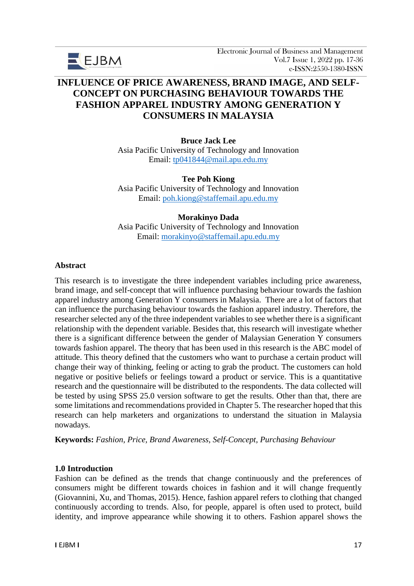

# **INFLUENCE OF PRICE AWARENESS, BRAND IMAGE, AND SELF-CONCEPT ON PURCHASING BEHAVIOUR TOWARDS THE FASHION APPAREL INDUSTRY AMONG GENERATION Y CONSUMERS IN MALAYSIA**

**Bruce Jack Lee**  Asia Pacific University of Technology and Innovation Email: [tp041844@mail.apu.edu.my](mailto:tp041844@mail.apu.edu.my)

## **Tee Poh Kiong**

Asia Pacific University of Technology and Innovation Email: [poh.kiong@staffemail.apu.edu.my](mailto:poh.kiong@staffemail.apu.edu.my)

#### **Morakinyo Dada**

Asia Pacific University of Technology and Innovation Email: [morakinyo@staffemail.apu.edu.my](mailto:morakinyo@staffemail.apu.edu.my)

#### **Abstract**

This research is to investigate the three independent variables including price awareness, brand image, and self-concept that will influence purchasing behaviour towards the fashion apparel industry among Generation Y consumers in Malaysia. There are a lot of factors that can influence the purchasing behaviour towards the fashion apparel industry. Therefore, the researcher selected any of the three independent variables to see whether there is a significant relationship with the dependent variable. Besides that, this research will investigate whether there is a significant difference between the gender of Malaysian Generation Y consumers towards fashion apparel. The theory that has been used in this research is the ABC model of attitude. This theory defined that the customers who want to purchase a certain product will change their way of thinking, feeling or acting to grab the product. The customers can hold negative or positive beliefs or feelings toward a product or service. This is a quantitative research and the questionnaire will be distributed to the respondents. The data collected will be tested by using SPSS 25.0 version software to get the results. Other than that, there are some limitations and recommendations provided in Chapter 5. The researcher hoped that this research can help marketers and organizations to understand the situation in Malaysia nowadays.

**Keywords:** *Fashion, Price, Brand Awareness, Self-Concept, Purchasing Behaviour*

#### **1.0 Introduction**

Fashion can be defined as the trends that change continuously and the preferences of consumers might be different towards choices in fashion and it will change frequently (Giovannini, Xu, and Thomas, 2015). Hence, fashion apparel refers to clothing that changed continuously according to trends. Also, for people, apparel is often used to protect, build identity, and improve appearance while showing it to others. Fashion apparel shows the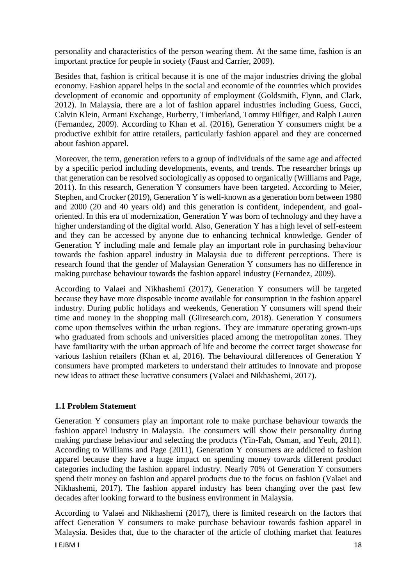personality and characteristics of the person wearing them. At the same time, fashion is an important practice for people in society (Faust and Carrier, 2009).

Besides that, fashion is critical because it is one of the major industries driving the global economy. Fashion apparel helps in the social and economic of the countries which provides development of economic and opportunity of employment (Goldsmith, Flynn, and Clark, 2012). In Malaysia, there are a lot of fashion apparel industries including Guess, Gucci, Calvin Klein, Armani Exchange, Burberry, Timberland, Tommy Hilfiger, and Ralph Lauren (Fernandez, 2009). According to Khan et al. (2016), Generation Y consumers might be a productive exhibit for attire retailers, particularly fashion apparel and they are concerned about fashion apparel.

Moreover, the term, generation refers to a group of individuals of the same age and affected by a specific period including developments, events, and trends. The researcher brings up that generation can be resolved sociologically as opposed to organically (Williams and Page, 2011). In this research, Generation Y consumers have been targeted. According to Meier, Stephen, and Crocker (2019), Generation Y is well-known as a generation born between 1980 and 2000 (20 and 40 years old) and this generation is confident, independent, and goaloriented. In this era of modernization, Generation Y was born of technology and they have a higher understanding of the digital world. Also, Generation Y has a high level of self-esteem and they can be accessed by anyone due to enhancing technical knowledge. Gender of Generation Y including male and female play an important role in purchasing behaviour towards the fashion apparel industry in Malaysia due to different perceptions. There is research found that the gender of Malaysian Generation Y consumers has no difference in making purchase behaviour towards the fashion apparel industry (Fernandez, 2009).

According to Valaei and Nikhashemi (2017), Generation Y consumers will be targeted because they have more disposable income available for consumption in the fashion apparel industry. During public holidays and weekends, Generation Y consumers will spend their time and money in the shopping mall (Giiresearch.com, 2018). Generation Y consumers come upon themselves within the urban regions. They are immature operating grown-ups who graduated from schools and universities placed among the metropolitan zones. They have familiarity with the urban approach of life and become the correct target showcase for various fashion retailers (Khan et al, 2016). The behavioural differences of Generation Y consumers have prompted marketers to understand their attitudes to innovate and propose new ideas to attract these lucrative consumers (Valaei and Nikhashemi, 2017).

## **1.1 Problem Statement**

Generation Y consumers play an important role to make purchase behaviour towards the fashion apparel industry in Malaysia. The consumers will show their personality during making purchase behaviour and selecting the products (Yin-Fah, Osman, and Yeoh, 2011). According to Williams and Page (2011), Generation Y consumers are addicted to fashion apparel because they have a huge impact on spending money towards different product categories including the fashion apparel industry. Nearly 70% of Generation Y consumers spend their money on fashion and apparel products due to the focus on fashion (Valaei and Nikhashemi, 2017). The fashion apparel industry has been changing over the past few decades after looking forward to the business environment in Malaysia.

According to Valaei and Nikhashemi (2017), there is limited research on the factors that affect Generation Y consumers to make purchase behaviour towards fashion apparel in Malaysia. Besides that, due to the character of the article of clothing market that features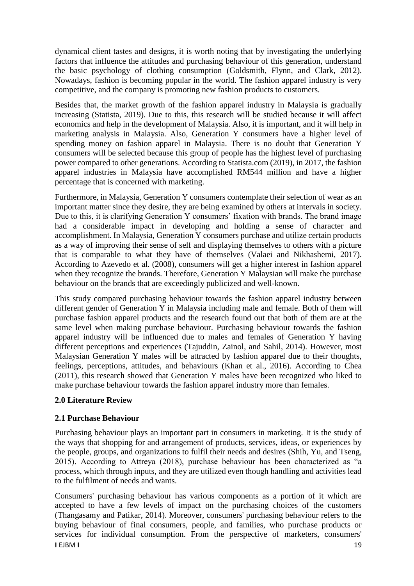dynamical client tastes and designs, it is worth noting that by investigating the underlying factors that influence the attitudes and purchasing behaviour of this generation, understand the basic psychology of clothing consumption (Goldsmith, Flynn, and Clark, 2012). Nowadays, fashion is becoming popular in the world. The fashion apparel industry is very competitive, and the company is promoting new fashion products to customers.

Besides that, the market growth of the fashion apparel industry in Malaysia is gradually increasing (Statista, 2019). Due to this, this research will be studied because it will affect economics and help in the development of Malaysia. Also, it is important, and it will help in marketing analysis in Malaysia. Also, Generation Y consumers have a higher level of spending money on fashion apparel in Malaysia. There is no doubt that Generation Y consumers will be selected because this group of people has the highest level of purchasing power compared to other generations. According to Statista.com (2019), in 2017, the fashion apparel industries in Malaysia have accomplished RM544 million and have a higher percentage that is concerned with marketing.

Furthermore, in Malaysia, Generation Y consumers contemplate their selection of wear as an important matter since they desire, they are being examined by others at intervals in society. Due to this, it is clarifying Generation Y consumers' fixation with brands. The brand image had a considerable impact in developing and holding a sense of character and accomplishment. In Malaysia, Generation Y consumers purchase and utilize certain products as a way of improving their sense of self and displaying themselves to others with a picture that is comparable to what they have of themselves (Valaei and Nikhashemi, 2017). According to Azevedo et al. (2008), consumers will get a higher interest in fashion apparel when they recognize the brands. Therefore, Generation Y Malaysian will make the purchase behaviour on the brands that are exceedingly publicized and well-known.

This study compared purchasing behaviour towards the fashion apparel industry between different gender of Generation Y in Malaysia including male and female. Both of them will purchase fashion apparel products and the research found out that both of them are at the same level when making purchase behaviour. Purchasing behaviour towards the fashion apparel industry will be influenced due to males and females of Generation Y having different perceptions and experiences (Tajuddin, Zainol, and Sahil, 2014). However, most Malaysian Generation Y males will be attracted by fashion apparel due to their thoughts, feelings, perceptions, attitudes, and behaviours (Khan et al., 2016). According to Chea (2011), this research showed that Generation Y males have been recognized who liked to make purchase behaviour towards the fashion apparel industry more than females.

## **2.0 Literature Review**

## **2.1 Purchase Behaviour**

Purchasing behaviour plays an important part in consumers in marketing. It is the study of the ways that shopping for and arrangement of products, services, ideas, or experiences by the people, groups, and organizations to fulfil their needs and desires (Shih, Yu, and Tseng, 2015). According to Attreya (2018), purchase behaviour has been characterized as "a process, which through inputs, and they are utilized even though handling and activities lead to the fulfilment of needs and wants.

**I** EJBM **I** 19 Consumers' purchasing behaviour has various components as a portion of it which are accepted to have a few levels of impact on the purchasing choices of the customers (Thangasamy and Patikar, 2014). Moreover, consumers' purchasing behaviour refers to the buying behaviour of final consumers, people, and families, who purchase products or services for individual consumption. From the perspective of marketers, consumers'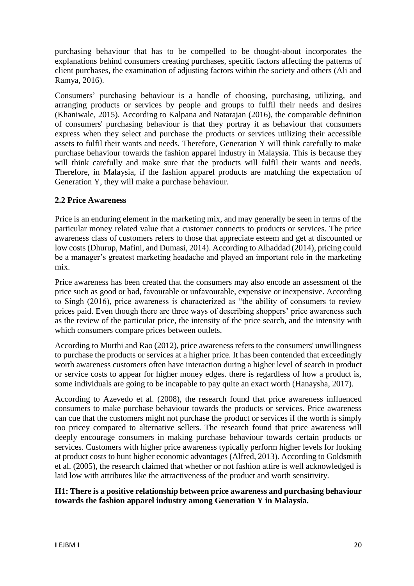purchasing behaviour that has to be compelled to be thought-about incorporates the explanations behind consumers creating purchases, specific factors affecting the patterns of client purchases, the examination of adjusting factors within the society and others (Ali and Ramya, 2016).

Consumers' purchasing behaviour is a handle of choosing, purchasing, utilizing, and arranging products or services by people and groups to fulfil their needs and desires (Khaniwale, 2015). According to Kalpana and Natarajan (2016), the comparable definition of consumers' purchasing behaviour is that they portray it as behaviour that consumers express when they select and purchase the products or services utilizing their accessible assets to fulfil their wants and needs. Therefore, Generation Y will think carefully to make purchase behaviour towards the fashion apparel industry in Malaysia. This is because they will think carefully and make sure that the products will fulfil their wants and needs. Therefore, in Malaysia, if the fashion apparel products are matching the expectation of Generation Y, they will make a purchase behaviour.

## **2.2 Price Awareness**

Price is an enduring element in the marketing mix, and may generally be seen in terms of the particular money related value that a customer connects to products or services. The price awareness class of customers refers to those that appreciate esteem and get at discounted or low costs (Dhurup, Mafini, and Dumasi, 2014). According to Alhaddad (2014), pricing could be a manager's greatest marketing headache and played an important role in the marketing mix.

Price awareness has been created that the consumers may also encode an assessment of the price such as good or bad, favourable or unfavourable, expensive or inexpensive. According to Singh (2016), price awareness is characterized as "the ability of consumers to review prices paid. Even though there are three ways of describing shoppers' price awareness such as the review of the particular price, the intensity of the price search, and the intensity with which consumers compare prices between outlets.

According to Murthi and Rao (2012), price awareness refers to the consumers' unwillingness to purchase the products or services at a higher price. It has been contended that exceedingly worth awareness customers often have interaction during a higher level of search in product or service costs to appear for higher money edges. there is regardless of how a product is, some individuals are going to be incapable to pay quite an exact worth (Hanaysha, 2017).

According to Azevedo et al. (2008), the research found that price awareness influenced consumers to make purchase behaviour towards the products or services. Price awareness can cue that the customers might not purchase the product or services if the worth is simply too pricey compared to alternative sellers. The research found that price awareness will deeply encourage consumers in making purchase behaviour towards certain products or services. Customers with higher price awareness typically perform higher levels for looking at product costs to hunt higher economic advantages (Alfred, 2013). According to Goldsmith et al. (2005), the research claimed that whether or not fashion attire is well acknowledged is laid low with attributes like the attractiveness of the product and worth sensitivity.

## **H1: There is a positive relationship between price awareness and purchasing behaviour towards the fashion apparel industry among Generation Y in Malaysia.**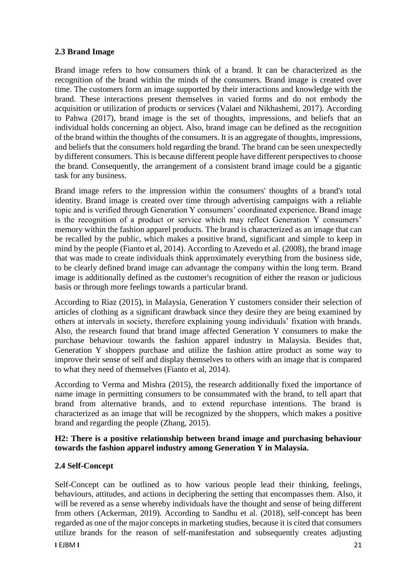# **2.3 Brand Image**

Brand image refers to how consumers think of a brand. It can be characterized as the recognition of the brand within the minds of the consumers. Brand image is created over time. The customers form an image supported by their interactions and knowledge with the brand. These interactions present themselves in varied forms and do not embody the acquisition or utilization of products or services (Valaei and Nikhashemi, 2017). According to Pahwa (2017), brand image is the set of thoughts, impressions, and beliefs that an individual holds concerning an object. Also, brand image can be defined as the recognition of the brand within the thoughts of the consumers. It is an aggregate of thoughts, impressions, and beliefs that the consumers hold regarding the brand. The brand can be seen unexpectedly by different consumers. This is because different people have different perspectives to choose the brand. Consequently, the arrangement of a consistent brand image could be a gigantic task for any business.

Brand image refers to the impression within the consumers' thoughts of a brand's total identity. Brand image is created over time through advertising campaigns with a reliable topic and is verified through Generation Y consumers' coordinated experience. Brand image is the recognition of a product or service which may reflect Generation Y consumers' memory within the fashion apparel products. The brand is characterized as an image that can be recalled by the public, which makes a positive brand, significant and simple to keep in mind by the people (Fianto et al, 2014). According to Azevedo et al. (2008), the brand image that was made to create individuals think approximately everything from the business side, to be clearly defined brand image can advantage the company within the long term. Brand image is additionally defined as the customer's recognition of either the reason or judicious basis or through more feelings towards a particular brand.

According to Riaz (2015), in Malaysia, Generation Y customers consider their selection of articles of clothing as a significant drawback since they desire they are being examined by others at intervals in society, therefore explaining young individuals' fixation with brands. Also, the research found that brand image affected Generation Y consumers to make the purchase behaviour towards the fashion apparel industry in Malaysia. Besides that, Generation Y shoppers purchase and utilize the fashion attire product as some way to improve their sense of self and display themselves to others with an image that is compared to what they need of themselves (Fianto et al, 2014).

According to Verma and Mishra (2015), the research additionally fixed the importance of name image in permitting consumers to be consummated with the brand, to tell apart that brand from alternative brands, and to extend repurchase intentions. The brand is characterized as an image that will be recognized by the shoppers, which makes a positive brand and regarding the people (Zhang, 2015).

## **H2: There is a positive relationship between brand image and purchasing behaviour towards the fashion apparel industry among Generation Y in Malaysia.**

## **2.4 Self-Concept**

Self-Concept can be outlined as to how various people lead their thinking, feelings, behaviours, attitudes, and actions in deciphering the setting that encompasses them. Also, it will be revered as a sense whereby individuals have the thought and sense of being different from others (Ackerman, 2019). According to Sandhu et al. (2018), self-concept has been regarded as one of the major concepts in marketing studies, because it is cited that consumers utilize brands for the reason of self-manifestation and subsequently creates adjusting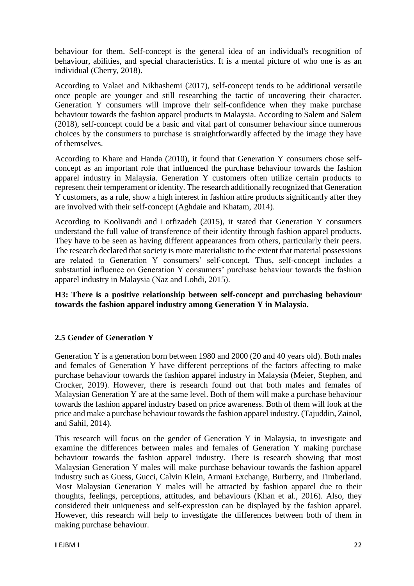behaviour for them. Self-concept is the general idea of an individual's recognition of behaviour, abilities, and special characteristics. It is a mental picture of who one is as an individual (Cherry, 2018).

According to Valaei and Nikhashemi (2017), self-concept tends to be additional versatile once people are younger and still researching the tactic of uncovering their character. Generation Y consumers will improve their self-confidence when they make purchase behaviour towards the fashion apparel products in Malaysia. According to Salem and Salem (2018), self-concept could be a basic and vital part of consumer behaviour since numerous choices by the consumers to purchase is straightforwardly affected by the image they have of themselves.

According to Khare and Handa (2010), it found that Generation Y consumers chose selfconcept as an important role that influenced the purchase behaviour towards the fashion apparel industry in Malaysia. Generation Y customers often utilize certain products to represent their temperament or identity. The research additionally recognized that Generation Y customers, as a rule, show a high interest in fashion attire products significantly after they are involved with their self-concept (Aghdaie and Khatam, 2014).

According to Koolivandi and Lotfizadeh (2015), it stated that Generation Y consumers understand the full value of transference of their identity through fashion apparel products. They have to be seen as having different appearances from others, particularly their peers. The research declared that society is more materialistic to the extent that material possessions are related to Generation Y consumers' self-concept. Thus, self-concept includes a substantial influence on Generation Y consumers' purchase behaviour towards the fashion apparel industry in Malaysia (Naz and Lohdi, 2015).

# **H3: There is a positive relationship between self-concept and purchasing behaviour towards the fashion apparel industry among Generation Y in Malaysia.**

## **2.5 Gender of Generation Y**

Generation Y is a generation born between 1980 and 2000 (20 and 40 years old). Both males and females of Generation Y have different perceptions of the factors affecting to make purchase behaviour towards the fashion apparel industry in Malaysia (Meier, Stephen, and Crocker, 2019). However, there is research found out that both males and females of Malaysian Generation Y are at the same level. Both of them will make a purchase behaviour towards the fashion apparel industry based on price awareness. Both of them will look at the price and make a purchase behaviour towards the fashion apparel industry. (Tajuddin, Zainol, and Sahil, 2014).

This research will focus on the gender of Generation Y in Malaysia, to investigate and examine the differences between males and females of Generation Y making purchase behaviour towards the fashion apparel industry. There is research showing that most Malaysian Generation Y males will make purchase behaviour towards the fashion apparel industry such as Guess, Gucci, Calvin Klein, Armani Exchange, Burberry, and Timberland. Most Malaysian Generation Y males will be attracted by fashion apparel due to their thoughts, feelings, perceptions, attitudes, and behaviours (Khan et al., 2016). Also, they considered their uniqueness and self-expression can be displayed by the fashion apparel. However, this research will help to investigate the differences between both of them in making purchase behaviour.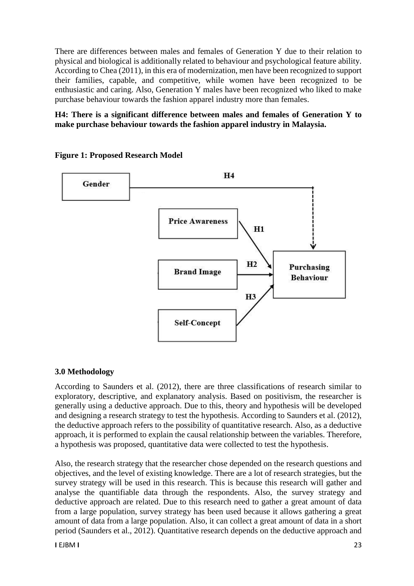There are differences between males and females of Generation Y due to their relation to physical and biological is additionally related to behaviour and psychological feature ability. According to Chea (2011), in this era of modernization, men have been recognized to support their families, capable, and competitive, while women have been recognized to be enthusiastic and caring. Also, Generation Y males have been recognized who liked to make purchase behaviour towards the fashion apparel industry more than females.

# **H4: There is a significant difference between males and females of Generation Y to make purchase behaviour towards the fashion apparel industry in Malaysia.**



#### **Figure 1: Proposed Research Model**

## **3.0 Methodology**

According to Saunders et al. (2012), there are three classifications of research similar to exploratory, descriptive, and explanatory analysis. Based on positivism, the researcher is generally using a deductive approach. Due to this, theory and hypothesis will be developed and designing a research strategy to test the hypothesis. According to Saunders et al. (2012), the deductive approach refers to the possibility of quantitative research. Also, as a deductive approach, it is performed to explain the causal relationship between the variables. Therefore, a hypothesis was proposed, quantitative data were collected to test the hypothesis.

Also, the research strategy that the researcher chose depended on the research questions and objectives, and the level of existing knowledge. There are a lot of research strategies, but the survey strategy will be used in this research. This is because this research will gather and analyse the quantifiable data through the respondents. Also, the survey strategy and deductive approach are related. Due to this research need to gather a great amount of data from a large population, survey strategy has been used because it allows gathering a great amount of data from a large population. Also, it can collect a great amount of data in a short period (Saunders et al., 2012). Quantitative research depends on the deductive approach and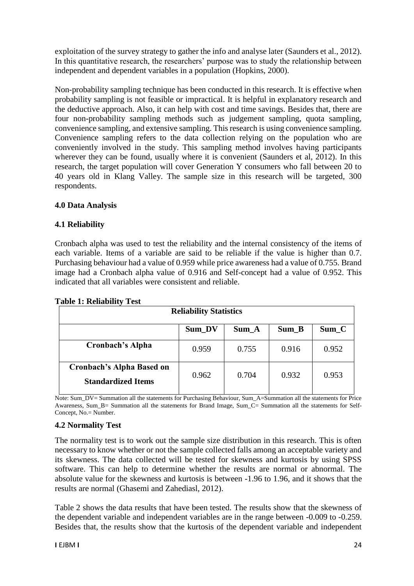exploitation of the survey strategy to gather the info and analyse later (Saunders et al., 2012). In this quantitative research, the researchers' purpose was to study the relationship between independent and dependent variables in a population (Hopkins, 2000).

Non-probability sampling technique has been conducted in this research. It is effective when probability sampling is not feasible or impractical. It is helpful in explanatory research and the deductive approach. Also, it can help with cost and time savings. Besides that, there are four non-probability sampling methods such as judgement sampling, quota sampling, convenience sampling, and extensive sampling. This research is using convenience sampling. Convenience sampling refers to the data collection relying on the population who are conveniently involved in the study. This sampling method involves having participants wherever they can be found, usually where it is convenient (Saunders et al, 2012). In this research, the target population will cover Generation Y consumers who fall between 20 to 40 years old in Klang Valley. The sample size in this research will be targeted, 300 respondents.

## **4.0 Data Analysis**

## **4.1 Reliability**

Cronbach alpha was used to test the reliability and the internal consistency of the items of each variable. Items of a variable are said to be reliable if the value is higher than 0.7. Purchasing behaviour had a value of 0.959 while price awareness had a value of 0.755. Brand image had a Cronbach alpha value of 0.916 and Self-concept had a value of 0.952. This indicated that all variables were consistent and reliable.

| $\mathbf{r}$ and $\mathbf{r}$ , includingly rest<br><b>Reliability Statistics</b> |       |       |       |       |  |  |
|-----------------------------------------------------------------------------------|-------|-------|-------|-------|--|--|
| Sum_DV<br>$Sum_C$<br>Sum_A<br>$Sum_B$                                             |       |       |       |       |  |  |
| <b>Cronbach's Alpha</b>                                                           | 0.959 | 0.755 | 0.916 | 0.952 |  |  |
| <b>Cronbach's Alpha Based on</b><br><b>Standardized Items</b>                     | 0.962 | 0.704 | 0.932 | 0.953 |  |  |

## **Table 1: Reliability Test**

Note: Sum\_DV= Summation all the statements for Purchasing Behaviour, Sum\_A=Summation all the statements for Price Awareness, Sum\_B= Summation all the statements for Brand Image, Sum\_C= Summation all the statements for Self-Concept, No.= Number.

## **4.2 Normality Test**

The normality test is to work out the sample size distribution in this research. This is often necessary to know whether or not the sample collected falls among an acceptable variety and its skewness. The data collected will be tested for skewness and kurtosis by using SPSS software. This can help to determine whether the results are normal or abnormal. The absolute value for the skewness and kurtosis is between -1.96 to 1.96, and it shows that the results are normal (Ghasemi and Zahediasl, 2012).

Table 2 shows the data results that have been tested. The results show that the skewness of the dependent variable and independent variables are in the range between -0.009 to -0.259. Besides that, the results show that the kurtosis of the dependent variable and independent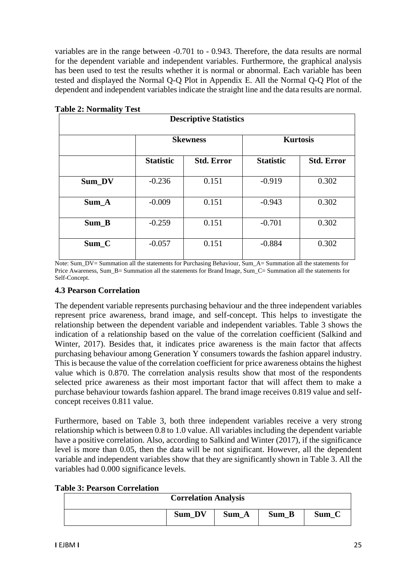variables are in the range between -0.701 to - 0.943. Therefore, the data results are normal for the dependent variable and independent variables. Furthermore, the graphical analysis has been used to test the results whether it is normal or abnormal. Each variable has been tested and displayed the Normal Q-Q Plot in Appendix E. All the Normal Q-Q Plot of the dependent and independent variables indicate the straight line and the data results are normal.

| <b>Descriptive Statistics</b> |                  |                   |                  |                   |  |  |
|-------------------------------|------------------|-------------------|------------------|-------------------|--|--|
|                               |                  | <b>Skewness</b>   | <b>Kurtosis</b>  |                   |  |  |
|                               | <b>Statistic</b> | <b>Std. Error</b> | <b>Statistic</b> | <b>Std. Error</b> |  |  |
| Sum_DV                        | $-0.236$         | 0.151             | $-0.919$         | 0.302             |  |  |
| Sum A                         | $-0.009$         | 0.151             | $-0.943$         | 0.302             |  |  |
| $Sum_B$                       | $-0.259$         | 0.151             | $-0.701$         | 0.302             |  |  |
| $Sum_C$                       | $-0.057$         | 0.151             | $-0.884$         | 0.302             |  |  |

**Table 2: Normality Test**

Note: Sum\_DV= Summation all the statements for Purchasing Behaviour, Sum\_A= Summation all the statements for Price Awareness, Sum\_B= Summation all the statements for Brand Image, Sum\_C= Summation all the statements for Self-Concept.

#### **4.3 Pearson Correlation**

The dependent variable represents purchasing behaviour and the three independent variables represent price awareness, brand image, and self-concept. This helps to investigate the relationship between the dependent variable and independent variables. Table 3 shows the indication of a relationship based on the value of the correlation coefficient (Salkind and Winter, 2017). Besides that, it indicates price awareness is the main factor that affects purchasing behaviour among Generation Y consumers towards the fashion apparel industry. This is because the value of the correlation coefficient for price awareness obtains the highest value which is 0.870. The correlation analysis results show that most of the respondents selected price awareness as their most important factor that will affect them to make a purchase behaviour towards fashion apparel. The brand image receives 0.819 value and selfconcept receives 0.811 value.

Furthermore, based on Table 3, both three independent variables receive a very strong relationship which is between 0.8 to 1.0 value. All variables including the dependent variable have a positive correlation. Also, according to Salkind and Winter (2017), if the significance level is more than 0.05, then the data will be not significant. However, all the dependent variable and independent variables show that they are significantly shown in Table 3. All the variables had 0.000 significance levels.

| <b>Table 3: Pearson Correlation</b> |  |
|-------------------------------------|--|
|-------------------------------------|--|

| <b>Correlation Analysis</b>           |  |  |  |  |  |  |
|---------------------------------------|--|--|--|--|--|--|
| $Sum_C$<br>Sum DV<br>$Sum_B$<br>Sum_A |  |  |  |  |  |  |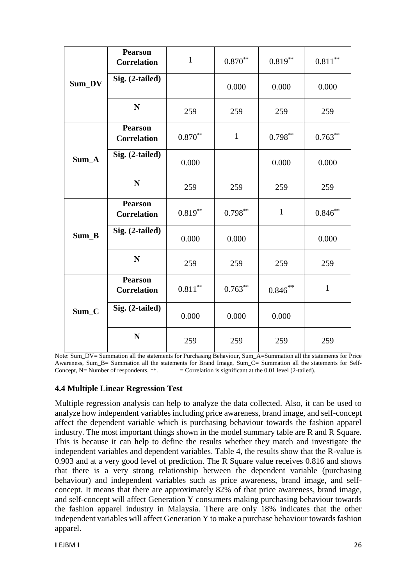|         | <b>Pearson</b><br><b>Correlation</b> | $\mathbf{1}$ | $0.870**$    | $0.819***$   | $0.811^{\ast\ast}$ |
|---------|--------------------------------------|--------------|--------------|--------------|--------------------|
| Sum_DV  | Sig. (2-tailed)                      |              | 0.000        | 0.000        | 0.000              |
|         | N                                    | 259          | 259          | 259          | 259                |
|         | <b>Pearson</b><br><b>Correlation</b> | $0.870**$    | $\mathbf{1}$ | $0.798***$   | $0.763***$         |
| Sum_A   | Sig. (2-tailed)                      | 0.000        |              | 0.000        | 0.000              |
|         | N                                    | 259          | 259          | 259          | 259                |
| Sum_B   | <b>Pearson</b><br><b>Correlation</b> | $0.819**$    | $0.798**$    | $\mathbf{1}$ | $0.846**$          |
|         | Sig. (2-tailed)                      | 0.000        | 0.000        |              | 0.000              |
|         | N                                    | 259          | 259          | 259          | 259                |
|         | <b>Pearson</b><br><b>Correlation</b> | $0.811***$   | $0.763***$   | $0.846$ **   | $\mathbf{1}$       |
| $Sum_C$ | Sig. (2-tailed)                      | 0.000        | 0.000        | 0.000        |                    |
|         | N                                    | 259          | 259          | 259          | 259                |

Note: Sum\_DV= Summation all the statements for Purchasing Behaviour, Sum\_A=Summation all the statements for Price Awareness, Sum\_B= Summation all the statements for Brand Image, Sum\_C= Summation all the statements for Self-Concept, N= Number of respondents,  $**$ .  $=$  Correlation is significant at the 0.01 level (2-tailed).

## **4.4 Multiple Linear Regression Test**

Multiple regression analysis can help to analyze the data collected. Also, it can be used to analyze how independent variables including price awareness, brand image, and self-concept affect the dependent variable which is purchasing behaviour towards the fashion apparel industry. The most important things shown in the model summary table are R and R Square. This is because it can help to define the results whether they match and investigate the independent variables and dependent variables. Table 4, the results show that the R-value is 0.903 and at a very good level of prediction. The R Square value receives 0.816 and shows that there is a very strong relationship between the dependent variable (purchasing behaviour) and independent variables such as price awareness, brand image, and selfconcept. It means that there are approximately 82% of that price awareness, brand image, and self-concept will affect Generation Y consumers making purchasing behaviour towards the fashion apparel industry in Malaysia. There are only 18% indicates that the other independent variables will affect Generation Y to make a purchase behaviour towards fashion apparel.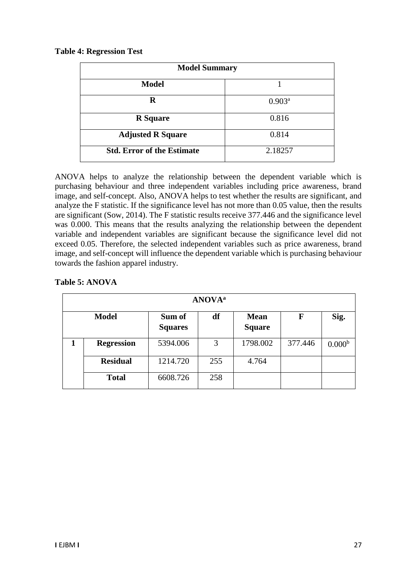|  | <b>Table 4: Regression Test</b> |  |
|--|---------------------------------|--|
|--|---------------------------------|--|

| <b>Model Summary</b>              |           |  |  |  |
|-----------------------------------|-----------|--|--|--|
| <b>Model</b>                      |           |  |  |  |
| R                                 | $0.903^a$ |  |  |  |
| <b>R</b> Square                   | 0.816     |  |  |  |
| <b>Adjusted R Square</b>          | 0.814     |  |  |  |
| <b>Std. Error of the Estimate</b> | 2.18257   |  |  |  |

ANOVA helps to analyze the relationship between the dependent variable which is purchasing behaviour and three independent variables including price awareness, brand image, and self-concept. Also, ANOVA helps to test whether the results are significant, and analyze the F statistic. If the significance level has not more than 0.05 value, then the results are significant (Sow, 2014). The F statistic results receive 377.446 and the significance level was 0.000. This means that the results analyzing the relationship between the dependent variable and independent variables are significant because the significance level did not exceed 0.05. Therefore, the selected independent variables such as price awareness, brand image, and self-concept will influence the dependent variable which is purchasing behaviour towards the fashion apparel industry.

| <b>ANOVA</b> <sup>a</sup> |                          |     |                              |             |                    |  |  |
|---------------------------|--------------------------|-----|------------------------------|-------------|--------------------|--|--|
| <b>Model</b>              | Sum of<br><b>Squares</b> | df  | <b>Mean</b><br><b>Square</b> | $\mathbf F$ | Sig.               |  |  |
| <b>Regression</b>         | 5394.006                 | 3   | 1798.002                     | 377.446     | 0.000 <sup>b</sup> |  |  |
| <b>Residual</b>           | 1214.720                 | 255 | 4.764                        |             |                    |  |  |
| <b>Total</b>              | 6608.726                 | 258 |                              |             |                    |  |  |

## **Table 5: ANOVA**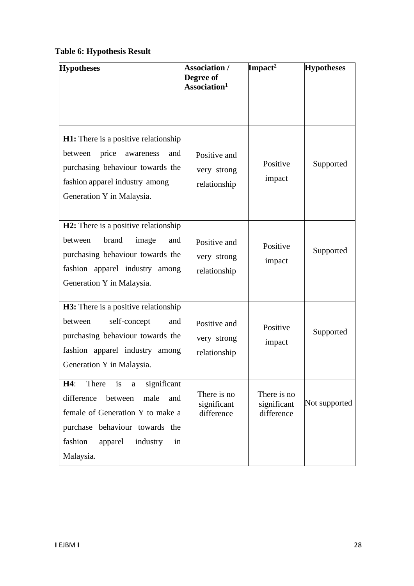# **Table 6: Hypothesis Result**

| <b>Hypotheses</b>                                                                                                                                                                                         | <b>Association /</b><br>Degree of<br>Association $^1$ | Impact <sup>2</sup>                      | <b>Hypotheses</b> |
|-----------------------------------------------------------------------------------------------------------------------------------------------------------------------------------------------------------|-------------------------------------------------------|------------------------------------------|-------------------|
| H1: There is a positive relationship<br>price<br>between<br>awareness<br>and<br>purchasing behaviour towards the<br>fashion apparel industry among<br>Generation Y in Malaysia.                           | Positive and<br>very strong<br>relationship           | Positive<br>impact                       | Supported         |
| <b>H2:</b> There is a positive relationship<br>brand<br>between<br>image<br>and<br>purchasing behaviour towards the<br>fashion apparel industry among<br>Generation Y in Malaysia.                        | Positive and<br>very strong<br>relationship           | Positive<br>impact                       | Supported         |
| <b>H3:</b> There is a positive relationship<br>self-concept<br>between<br>and<br>purchasing behaviour towards the<br>fashion apparel industry among<br>Generation Y in Malaysia.                          | Positive and<br>very strong<br>relationship           | Positive<br>impact                       | Supported         |
| is<br>significant<br>H4:<br>There<br>a<br>between<br>difference<br>male<br>and<br>female of Generation Y to make a<br>purchase behaviour towards the<br>fashion<br>apparel<br>industry<br>in<br>Malaysia. | There is no<br>significant<br>difference              | There is no<br>significant<br>difference | Not supported     |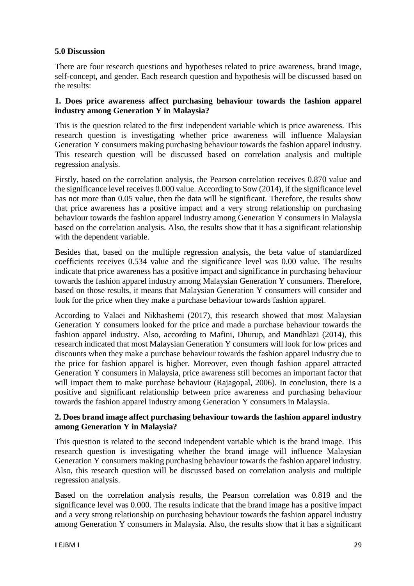#### **5.0 Discussion**

There are four research questions and hypotheses related to price awareness, brand image, self-concept, and gender. Each research question and hypothesis will be discussed based on the results:

#### **1. Does price awareness affect purchasing behaviour towards the fashion apparel industry among Generation Y in Malaysia?**

This is the question related to the first independent variable which is price awareness. This research question is investigating whether price awareness will influence Malaysian Generation Y consumers making purchasing behaviour towards the fashion apparel industry. This research question will be discussed based on correlation analysis and multiple regression analysis.

Firstly, based on the correlation analysis, the Pearson correlation receives 0.870 value and the significance level receives 0.000 value. According to Sow (2014), if the significance level has not more than 0.05 value, then the data will be significant. Therefore, the results show that price awareness has a positive impact and a very strong relationship on purchasing behaviour towards the fashion apparel industry among Generation Y consumers in Malaysia based on the correlation analysis. Also, the results show that it has a significant relationship with the dependent variable.

Besides that, based on the multiple regression analysis, the beta value of standardized coefficients receives 0.534 value and the significance level was 0.00 value. The results indicate that price awareness has a positive impact and significance in purchasing behaviour towards the fashion apparel industry among Malaysian Generation Y consumers. Therefore, based on those results, it means that Malaysian Generation Y consumers will consider and look for the price when they make a purchase behaviour towards fashion apparel.

According to Valaei and Nikhashemi (2017), this research showed that most Malaysian Generation Y consumers looked for the price and made a purchase behaviour towards the fashion apparel industry. Also, according to Mafini, Dhurup, and Mandhlazi (2014), this research indicated that most Malaysian Generation Y consumers will look for low prices and discounts when they make a purchase behaviour towards the fashion apparel industry due to the price for fashion apparel is higher. Moreover, even though fashion apparel attracted Generation Y consumers in Malaysia, price awareness still becomes an important factor that will impact them to make purchase behaviour (Rajagopal, 2006). In conclusion, there is a positive and significant relationship between price awareness and purchasing behaviour towards the fashion apparel industry among Generation Y consumers in Malaysia.

#### **2. Does brand image affect purchasing behaviour towards the fashion apparel industry among Generation Y in Malaysia?**

This question is related to the second independent variable which is the brand image. This research question is investigating whether the brand image will influence Malaysian Generation Y consumers making purchasing behaviour towards the fashion apparel industry. Also, this research question will be discussed based on correlation analysis and multiple regression analysis.

Based on the correlation analysis results, the Pearson correlation was 0.819 and the significance level was 0.000. The results indicate that the brand image has a positive impact and a very strong relationship on purchasing behaviour towards the fashion apparel industry among Generation Y consumers in Malaysia. Also, the results show that it has a significant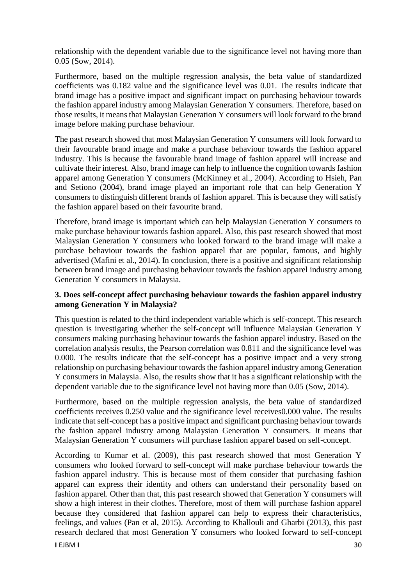relationship with the dependent variable due to the significance level not having more than 0.05 (Sow, 2014).

Furthermore, based on the multiple regression analysis, the beta value of standardized coefficients was 0.182 value and the significance level was 0.01. The results indicate that brand image has a positive impact and significant impact on purchasing behaviour towards the fashion apparel industry among Malaysian Generation Y consumers. Therefore, based on those results, it means that Malaysian Generation Y consumers will look forward to the brand image before making purchase behaviour.

The past research showed that most Malaysian Generation Y consumers will look forward to their favourable brand image and make a purchase behaviour towards the fashion apparel industry. This is because the favourable brand image of fashion apparel will increase and cultivate their interest. Also, brand image can help to influence the cognition towards fashion apparel among Generation Y consumers (McKinney et al., 2004). According to Hsieh, Pan and Setiono (2004), brand image played an important role that can help Generation Y consumers to distinguish different brands of fashion apparel. This is because they will satisfy the fashion apparel based on their favourite brand.

Therefore, brand image is important which can help Malaysian Generation Y consumers to make purchase behaviour towards fashion apparel. Also, this past research showed that most Malaysian Generation Y consumers who looked forward to the brand image will make a purchase behaviour towards the fashion apparel that are popular, famous, and highly advertised (Mafini et al., 2014). In conclusion, there is a positive and significant relationship between brand image and purchasing behaviour towards the fashion apparel industry among Generation Y consumers in Malaysia.

# **3. Does self-concept affect purchasing behaviour towards the fashion apparel industry among Generation Y in Malaysia?**

This question is related to the third independent variable which is self-concept. This research question is investigating whether the self-concept will influence Malaysian Generation Y consumers making purchasing behaviour towards the fashion apparel industry. Based on the correlation analysis results, the Pearson correlation was 0.811 and the significance level was 0.000. The results indicate that the self-concept has a positive impact and a very strong relationship on purchasing behaviour towards the fashion apparel industry among Generation Y consumers in Malaysia. Also, the results show that it has a significant relationship with the dependent variable due to the significance level not having more than 0.05 (Sow, 2014).

Furthermore, based on the multiple regression analysis, the beta value of standardized coefficients receives 0.250 value and the significance level receives0.000 value. The results indicate that self-concept has a positive impact and significant purchasing behaviour towards the fashion apparel industry among Malaysian Generation Y consumers. It means that Malaysian Generation Y consumers will purchase fashion apparel based on self-concept.

According to Kumar et al. (2009), this past research showed that most Generation Y consumers who looked forward to self-concept will make purchase behaviour towards the fashion apparel industry. This is because most of them consider that purchasing fashion apparel can express their identity and others can understand their personality based on fashion apparel. Other than that, this past research showed that Generation Y consumers will show a high interest in their clothes. Therefore, most of them will purchase fashion apparel because they considered that fashion apparel can help to express their characteristics, feelings, and values (Pan et al, 2015). According to Khallouli and Gharbi (2013), this past research declared that most Generation Y consumers who looked forward to self-concept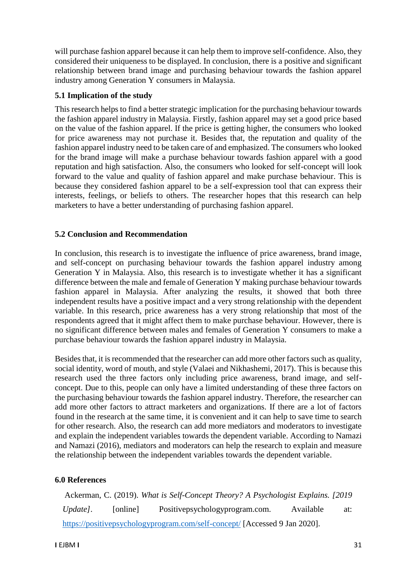will purchase fashion apparel because it can help them to improve self-confidence. Also, they considered their uniqueness to be displayed. In conclusion, there is a positive and significant relationship between brand image and purchasing behaviour towards the fashion apparel industry among Generation Y consumers in Malaysia.

# **5.1 Implication of the study**

This research helps to find a better strategic implication for the purchasing behaviour towards the fashion apparel industry in Malaysia. Firstly, fashion apparel may set a good price based on the value of the fashion apparel. If the price is getting higher, the consumers who looked for price awareness may not purchase it. Besides that, the reputation and quality of the fashion apparel industry need to be taken care of and emphasized. The consumers who looked for the brand image will make a purchase behaviour towards fashion apparel with a good reputation and high satisfaction. Also, the consumers who looked for self-concept will look forward to the value and quality of fashion apparel and make purchase behaviour. This is because they considered fashion apparel to be a self-expression tool that can express their interests, feelings, or beliefs to others. The researcher hopes that this research can help marketers to have a better understanding of purchasing fashion apparel.

## **5.2 Conclusion and Recommendation**

In conclusion, this research is to investigate the influence of price awareness, brand image, and self-concept on purchasing behaviour towards the fashion apparel industry among Generation Y in Malaysia. Also, this research is to investigate whether it has a significant difference between the male and female of Generation Y making purchase behaviour towards fashion apparel in Malaysia. After analyzing the results, it showed that both three independent results have a positive impact and a very strong relationship with the dependent variable. In this research, price awareness has a very strong relationship that most of the respondents agreed that it might affect them to make purchase behaviour. However, there is no significant difference between males and females of Generation Y consumers to make a purchase behaviour towards the fashion apparel industry in Malaysia.

Besides that, it is recommended that the researcher can add more other factors such as quality, social identity, word of mouth, and style (Valaei and Nikhashemi, 2017). This is because this research used the three factors only including price awareness, brand image, and selfconcept. Due to this, people can only have a limited understanding of these three factors on the purchasing behaviour towards the fashion apparel industry. Therefore, the researcher can add more other factors to attract marketers and organizations. If there are a lot of factors found in the research at the same time, it is convenient and it can help to save time to search for other research. Also, the research can add more mediators and moderators to investigate and explain the independent variables towards the dependent variable. According to Namazi and Namazi (2016), mediators and moderators can help the research to explain and measure the relationship between the independent variables towards the dependent variable.

## **6.0 References**

Ackerman, C. (2019). *What is Self-Concept Theory? A Psychologist Explains. [2019 Update*]. [online] Positivepsychologyprogram.com. Available at: <https://positivepsychologyprogram.com/self-concept/> [Accessed 9 Jan 2020].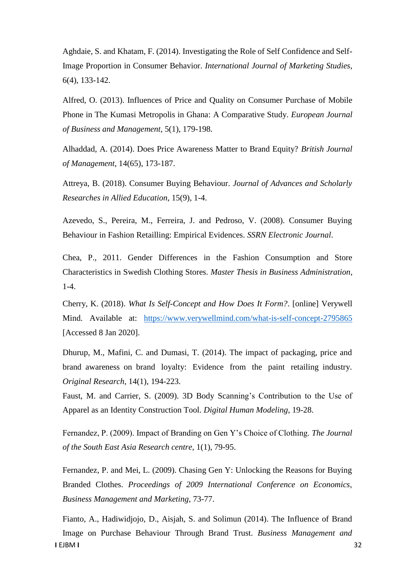Aghdaie, S. and Khatam, F. (2014). Investigating the Role of Self Confidence and Self-Image Proportion in Consumer Behavior. *International Journal of Marketing Studies*, 6(4), 133-142.

Alfred, O. (2013). Influences of Price and Quality on Consumer Purchase of Mobile Phone in The Kumasi Metropolis in Ghana: A Comparative Study. *European Journal of Business and Management*, 5(1), 179-198.

Alhaddad, A. (2014). Does Price Awareness Matter to Brand Equity? *British Journal of Management*, 14(65), 173-187.

Attreya, B. (2018). Consumer Buying Behaviour. *Journal of Advances and Scholarly Researches in Allied Education*, 15(9), 1-4.

Azevedo, S., Pereira, M., Ferreira, J. and Pedroso, V. (2008). Consumer Buying Behaviour in Fashion Retailling: Empirical Evidences. *SSRN Electronic Journal*.

Chea, P., 2011. Gender Differences in the Fashion Consumption and Store Characteristics in Swedish Clothing Stores. *Master Thesis in Business Administration*, 1-4.

Cherry, K. (2018). *What Is Self-Concept and How Does It Form?*. [online] Verywell Mind. Available at: <https://www.verywellmind.com/what-is-self-concept-2795865> [Accessed 8 Jan 2020].

Dhurup, M., Mafini, C. and Dumasi, T. (2014). The impact of packaging, price and brand awareness on brand loyalty: Evidence from the paint retailing industry. *Original Research*, 14(1), 194-223.

Faust, M. and Carrier, S. (2009). 3D Body Scanning's Contribution to the Use of Apparel as an Identity Construction Tool. *Digital Human Modeling*, 19-28.

Fernandez, P. (2009). Impact of Branding on Gen Y's Choice of Clothing. *The Journal of the South East Asia Research centre*, 1(1), 79-95.

Fernandez, P. and Mei, L. (2009). Chasing Gen Y: Unlocking the Reasons for Buying Branded Clothes. *Proceedings of 2009 International Conference on Economics, Business Management and Marketing*, 73-77.

**I** EJBM **I** 32 Fianto, A., Hadiwidjojo, D., Aisjah, S. and Solimun (2014). The Influence of Brand Image on Purchase Behaviour Through Brand Trust. *Business Management and*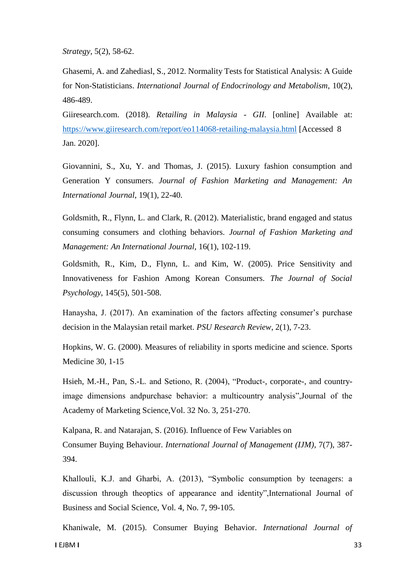*Strategy*, 5(2), 58-62.

Ghasemi, A. and Zahediasl, S., 2012. Normality Tests for Statistical Analysis: A Guide for Non-Statisticians. *International Journal of Endocrinology and Metabolism*, 10(2), 486-489.

Giiresearch.com. (2018). *Retailing in Malaysia - GII*. [online] Available at: <https://www.giiresearch.com/report/eo114068-retailing-malaysia.html> [Accessed 8 Jan. 2020].

Giovannini, S., Xu, Y. and Thomas, J. (2015). Luxury fashion consumption and Generation Y consumers. *Journal of Fashion Marketing and Management: An International Journal*, 19(1), 22-40.

Goldsmith, R., Flynn, L. and Clark, R. (2012). Materialistic, brand engaged and status consuming consumers and clothing behaviors. *Journal of Fashion Marketing and Management: An International Journal*, 16(1), 102-119.

Goldsmith, R., Kim, D., Flynn, L. and Kim, W. (2005). Price Sensitivity and Innovativeness for Fashion Among Korean Consumers. *The Journal of Social Psychology*, 145(5), 501-508.

Hanaysha, J. (2017). An examination of the factors affecting consumer's purchase decision in the Malaysian retail market. *PSU Research Review*, 2(1), 7-23.

Hopkins, W. G. (2000). Measures of reliability in sports medicine and science. Sports Medicine 30, 1-15

Hsieh, M.-H., Pan, S.-L. and Setiono, R. (2004), "Product-, corporate-, and countryimage dimensions andpurchase behavior: a multicountry analysis",Journal of the Academy of Marketing Science,Vol. 32 No. 3, 251-270.

Kalpana, R. and Natarajan, S. (2016). Influence of Few Variables on Consumer Buying Behaviour. *International Journal of Management (IJM)*, 7(7), 387- 394.

Khallouli, K.J. and Gharbi, A. (2013), "Symbolic consumption by teenagers: a discussion through theoptics of appearance and identity",International Journal of Business and Social Science, Vol. 4, No. 7, 99-105.

**I** EJBM **I** 33 Khaniwale, M. (2015). Consumer Buying Behavior. *International Journal of*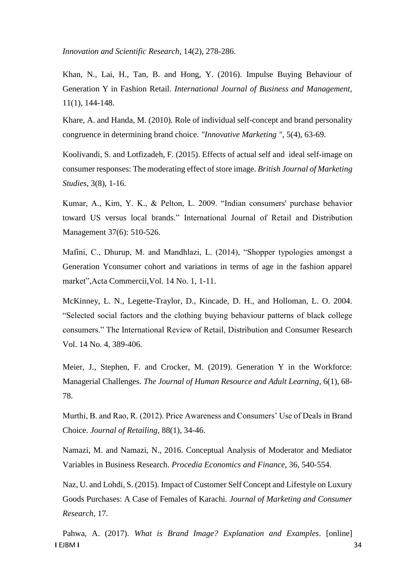*Innovation and Scientific Research*, 14(2), 278-286.

Khan, N., Lai, H., Tan, B. and Hong, Y. (2016). Impulse Buying Behaviour of Generation Y in Fashion Retail. *International Journal of Business and Management*, 11(1), 144-148.

Khare, A. and Handa, M. (2010). Role of individual self-concept and brand personality congruence in determining brand choice. *"Innovative Marketing "*, 5(4), 63-69.

Koolivandi, S. and Lotfizadeh, F. (2015). Effects of actual self and ideal self-image on consumer responses: The moderating effect of store image. *British Journal of Marketing Studies*, 3(8), 1-16.

Kumar, A., Kim, Y. K., & Pelton, L. 2009. "Indian consumers' purchase behavior toward US versus local brands." International Journal of Retail and Distribution Management 37(6): 510-526.

Mafini, C., Dhurup, M. and Mandhlazi, L. (2014), "Shopper typologies amongst a Generation Yconsumer cohort and variations in terms of age in the fashion apparel market",Acta Commercii,Vol. 14 No. 1, 1-11.

McKinney, L. N., Legette-Traylor, D., Kincade, D. H., and Holloman, L. O. 2004. "Selected social factors and the clothing buying behaviour patterns of black college consumers." The International Review of Retail, Distribution and Consumer Research Vol. 14 No. 4, 389-406.

Meier, J., Stephen, F. and Crocker, M. (2019). Generation Y in the Workforce: Managerial Challenges. *The Journal of Human Resource and Adult Learning*, 6(1), 68- 78.

Murthi, B. and Rao, R. (2012). Price Awareness and Consumers' Use of Deals in Brand Choice. *Journal of Retailing*, 88(1), 34-46.

Namazi, M. and Namazi, N., 2016. Conceptual Analysis of Moderator and Mediator Variables in Business Research. *Procedia Economics and Finance*, 36, 540-554.

Naz, U. and Lohdi, S. (2015). Impact of Customer Self Concept and Lifestyle on Luxury Goods Purchases: A Case of Females of Karachi. *Journal of Marketing and Consumer Research*, 17.

**I** EJBM **I** 34 Pahwa, A. (2017). *What is Brand Image? Explanation and Examples*. [online]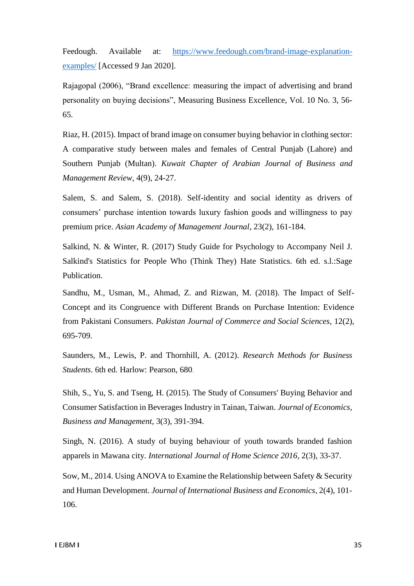Feedough. Available at: [https://www.feedough.com/brand-image-explanation](https://www.feedough.com/brand-image-explanation-examples/)examples/ [Accessed 9 Jan 2020].

Rajagopal (2006), "Brand excellence: measuring the impact of advertising and brand personality on buying decisions", Measuring Business Excellence, Vol. 10 No. 3, 56- 65.

Riaz, H. (2015). Impact of brand image on consumer buying behavior in clothing sector: A comparative study between males and females of Central Punjab (Lahore) and Southern Punjab (Multan). *Kuwait Chapter of Arabian Journal of Business and Management Review*, 4(9), 24-27.

Salem, S. and Salem, S. (2018). Self-identity and social identity as drivers of consumers' purchase intention towards luxury fashion goods and willingness to pay premium price. *Asian Academy of Management Journal*, 23(2), 161-184.

Salkind, N. & Winter, R. (2017) Study Guide for Psychology to Accompany Neil J. Salkind's Statistics for People Who (Think They) Hate Statistics. 6th ed. s.l.:Sage Publication.

Sandhu, M., Usman, M., Ahmad, Z. and Rizwan, M. (2018). The Impact of Self-Concept and its Congruence with Different Brands on Purchase Intention: Evidence from Pakistani Consumers. *Pakistan Journal of Commerce and Social Sciences*, 12(2), 695-709.

Saunders, M., Lewis, P. and Thornhill, A. (2012). *Research Methods for Business Students*. 6th ed. Harlow: Pearson, 680.

Shih, S., Yu, S. and Tseng, H. (2015). The Study of Consumers' Buying Behavior and Consumer Satisfaction in Beverages Industry in Tainan, Taiwan. *Journal of Economics, Business and Management*, 3(3), 391-394.

Singh, N. (2016). A study of buying behaviour of youth towards branded fashion apparels in Mawana city. *International Journal of Home Science 2016*, 2(3), 33-37.

Sow, M., 2014. Using ANOVA to Examine the Relationship between Safety & Security and Human Development. *Journal of International Business and Economics*, 2(4), 101- 106.